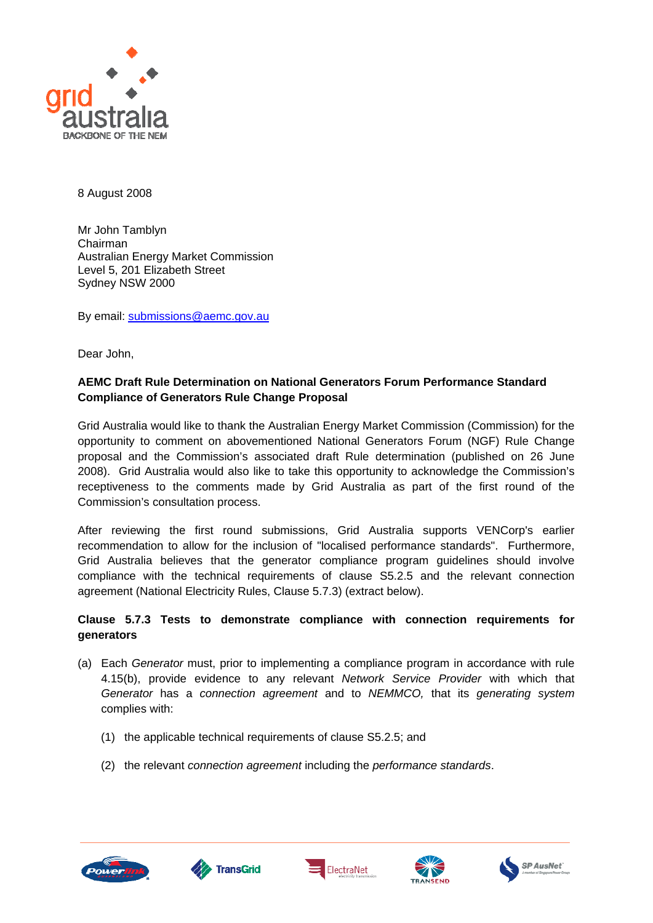

8 August 2008

Mr John Tamblyn Chairman Australian Energy Market Commission Level 5, 201 Elizabeth Street Sydney NSW 2000

By email: [submissions@aemc.gov.au](mailto:submissions@aemc.gov.au)

Dear John,

## **AEMC Draft Rule Determination on National Generators Forum Performance Standard Compliance of Generators Rule Change Proposal**

Grid Australia would like to thank the Australian Energy Market Commission (Commission) for the opportunity to comment on abovementioned National Generators Forum (NGF) Rule Change proposal and the Commission's associated draft Rule determination (published on 26 June 2008). Grid Australia would also like to take this opportunity to acknowledge the Commission's receptiveness to the comments made by Grid Australia as part of the first round of the Commission's consultation process.

After reviewing the first round submissions, Grid Australia supports VENCorp's earlier recommendation to allow for the inclusion of "localised performance standards". Furthermore, Grid Australia believes that the generator compliance program guidelines should involve compliance with the technical requirements of clause S5.2.5 and the relevant connection agreement (National Electricity Rules, Clause 5.7.3) (extract below).

## **Clause 5.7.3 Tests to demonstrate compliance with connection requirements for generators**

- (a) Each *Generator* must, prior to implementing a compliance program in accordance with rule 4.15(b), provide evidence to any relevant *Network Service Provider* with which that *Generator* has a *connection agreement* and to *NEMMCO,* that its *generating system*  complies with:
	- (1) the applicable technical requirements of clause S5.2.5; and
	- (2) the relevant *connection agreement* including the *performance standards*.